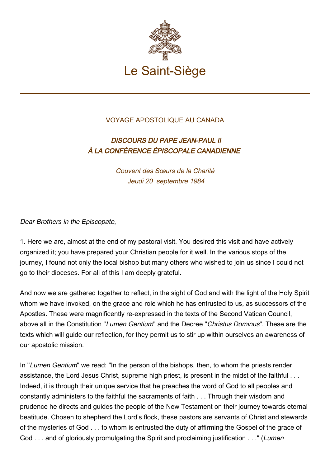

## VOYAGE APOSTOLIQUE AU CANADA

## DISCOURS DU PAPE JEAN-PAUL II À LA CONFÉRENCE ÉPISCOPALE CANADIENNE

Couvent des Sœurs de la Charité Jeudi 20 septembre 1984

## Dear Brothers in the Episcopate,

1. Here we are, almost at the end of my pastoral visit. You desired this visit and have actively organized it; you have prepared your Christian people for it well. In the various stops of the journey, I found not only the local bishop but many others who wished to join us since I could not go to their dioceses. For all of this I am deeply grateful.

And now we are gathered together to reflect, in the sight of God and with the light of the Holy Spirit whom we have invoked, on the grace and role which he has entrusted to us, as successors of the Apostles. These were magnificently re-expressed in the texts of the Second Vatican Council, above all in the Constitution "Lumen Gentium" and the Decree "Christus Dominus". These are the texts which will guide our reflection, for they permit us to stir up within ourselves an awareness of our apostolic mission.

In "Lumen Gentium" we read: "In the person of the bishops, then, to whom the priests render assistance, the Lord Jesus Christ, supreme high priest, is present in the midst of the faithful . . . Indeed, it is through their unique service that he preaches the word of God to all peoples and constantly administers to the faithful the sacraments of faith . . . Through their wisdom and prudence he directs and guides the people of the New Testament on their journey towards eternal beatitude. Chosen to shepherd the Lord's flock, these pastors are servants of Christ and stewards of the mysteries of God . . . to whom is entrusted the duty of affirming the Gospel of the grace of God . . . and of gloriously promulgating the Spirit and proclaiming justification . . ." (Lumen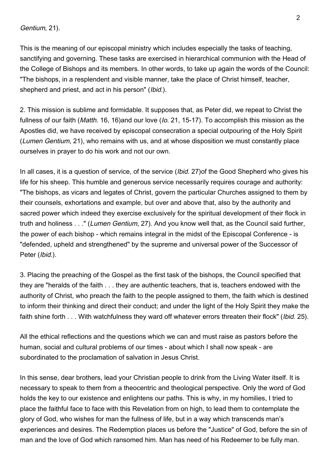## Gentium, 21).

This is the meaning of our episcopal ministry which includes especially the tasks of teaching, sanctifying and governing. These tasks are exercised in hierarchical communion with the Head of the College of Bishops and its members. In other words, to take up again the words of the Council: "The bishops, in a resplendent and visible manner, take the place of Christ himself, teacher, shepherd and priest, and act in his person" (Ibid.).

2. This mission is sublime and formidable. It supposes that, as Peter did, we repeat to Christ the fullness of our faith (*Matth*. 16, 16)and our love (*lo.* 21, 15-17). To accomplish this mission as the Apostles did, we have received by episcopal consecration a special outpouring of the Holy Spirit (Lumen Gentium, 21), who remains with us, and at whose disposition we must constantly place ourselves in prayer to do his work and not our own.

In all cases, it is a question of service, of the service (*Ibid.* 27) of the Good Shepherd who gives his life for his sheep. This humble and generous service necessarily requires courage and authority: "The bishops, as vicars and legates of Christ, govern the particular Churches assigned to them by their counsels, exhortations and example, but over and above that, also by the authority and sacred power which indeed they exercise exclusively for the spiritual development of their flock in truth and holiness . . ." (Lumen Gentium, 27). And you know well that, as the Council said further, the power of each bishop - which remains integral in the midst of the Episcopal Conference - is "defended, upheld and strengthened" by the supreme and universal power of the Successor of Peter (Ibid.).

3. Placing the preaching of the Gospel as the first task of the bishops, the Council specified that they are "heralds of the faith . . . they are authentic teachers, that is, teachers endowed with the authority of Christ, who preach the faith to the people assigned to them, the faith which is destined to inform their thinking and direct their conduct; and under the light of the Holy Spirit they make the faith shine forth . . . With watchfulness they ward off whatever errors threaten their flock" (Ibid. 25).

All the ethical reflections and the questions which we can and must raise as pastors before the human, social and cultural problems of our times - about which I shall now speak - are subordinated to the proclamation of salvation in Jesus Christ.

In this sense, dear brothers, lead your Christian people to drink from the Living Water itself. It is necessary to speak to them from a theocentric and theological perspective. Only the word of God holds the key to our existence and enlightens our paths. This is why, in my homilies, I tried to place the faithful face to face with this Revelation from on high, to lead them to contemplate the glory of God, who wishes for man the fullness of life, but in a way which transcends man's experiences and desires. The Redemption places us before the "Justice" of God, before the sin of man and the love of God which ransomed him. Man has need of his Redeemer to be fully man.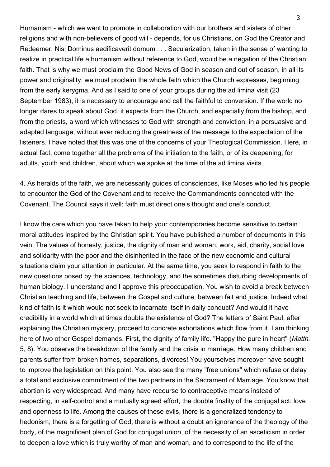Humanism - which we want to promote in collaboration with our brothers and sisters of other religions and with non-believers of good will - depends, for us Christians, on God the Creator and Redeemer. Nisi Dominus aedificaverit domum . . . Secularization, taken in the sense of wanting to realize in practical life a humanism without reference to God, would be a negation of the Christian faith. That is why we must proclaim the Good News of God in season and out of season, in all its power and originality; we must proclaim the whole faith which the Church expresses, beginning from the early kerygma. And as I said to one of your groups during the ad limina visit (23 September 1983), it is necessary to encourage and call the faithful to conversion. If the world no longer dares to speak about God, it expects from the Church, and especially from the bishop, and from the priests, a word which witnesses to God with strength and conviction, in a persuasive and adapted language, without ever reducing the greatness of the message to the expectation of the listeners. I have noted that this was one of the concerns of your Theological Commission. Here, in actual fact, come together all the problems of the initiation to the faith, or of its deepening, for adults, youth and children, about which we spoke at the time of the ad limina visits.

4. As heralds of the faith, we are necessarily guides of consciences, like Moses who led his people to encounter the God of the Covenant and to receive the Commandments connected with the Covenant. The Council says it well: faith must direct one's thought and one's conduct.

I know the care which you have taken to help your contemporaries become sensitive to certain moral attitudes inspired by the Christian spirit. You have published a number of documents in this vein. The values of honesty, justice, the dignity of man and woman, work, aid, charity, social love and solidarity with the poor and the disinherited in the face of the new economic and cultural situations claim your attention in particular. At the same time, you seek to respond in faith to the new questions posed by the sciences, technology, and the sometimes disturbing developments of human biology. I understand and I approve this preoccupation. You wish to avoid a break between Christian teaching and life, between the Gospel and culture, between fait and justice. Indeed what kind of faith is it which would not seek to incarnate itself in daily conduct? And would it have credibility in a world which at times doubts the existence of God? The letters of Saint Paul, after explaining the Christian mystery, proceed to concrete exhortations which flow from it. I am thinking here of two other Gospel demands. First, the dignity of family life. "Happy the pure in heart" (Matth. 5, 8). You observe the breakdown of the family and the crisis in marriage. How many children and parents suffer from broken homes, separations, divorces! You yourselves moreover have sought to improve the legislation on this point. You also see the many "free unions" which refuse or delay a total and exclusive commitment of the two partners in the Sacrament of Marriage. You know that abortion is very widespread. And many have recourse to contraceptive means instead of respecting, in self-control and a mutually agreed effort, the double finality of the conjugal act: love and openness to life. Among the causes of these evils, there is a generalized tendency to hedonism; there is a forgetting of God; there is without a doubt an ignorance of the theology of the body, of the magnificent plan of God for conjugal union, of the necessity of an asceticism in order to deepen a love which is truly worthy of man and woman, and to correspond to the life of the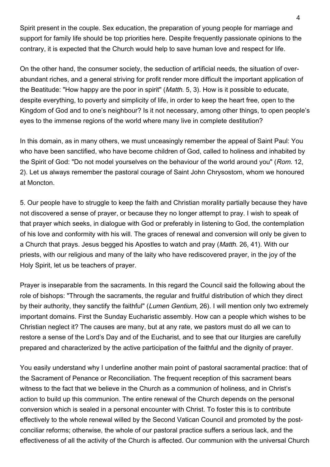Spirit present in the couple. Sex education, the preparation of young people for marriage and support for family life should be top priorities here. Despite frequently passionate opinions to the contrary, it is expected that the Church would help to save human love and respect for life.

On the other hand, the consumer society, the seduction of artificial needs, the situation of overabundant riches, and a general striving for profit render more difficult the important application of the Beatitude: "How happy are the poor in spirit" (Matth. 5, 3). How is it possible to educate, despite everything, to poverty and simplicity of life, in order to keep the heart free, open to the Kingdom of God and to one's neighbour? Is it not necessary, among other things, to open people's eyes to the immense regions of the world where many live in complete destitution?

In this domain, as in many others, we must unceasingly remember the appeal of Saint Paul: You who have been sanctified, who have become children of God, called to holiness and inhabited by the Spirit of God: "Do not model yourselves on the behaviour of the world around you" (Rom. 12, 2). Let us always remember the pastoral courage of Saint John Chrysostom, whom we honoured at Moncton.

5. Our people have to struggle to keep the faith and Christian morality partially because they have not discovered a sense of prayer, or because they no longer attempt to pray. I wish to speak of that prayer which seeks, in dialogue with God or preferably in listening to God, the contemplation of his love and conformity with his will. The graces of renewal and conversion will only be given to a Church that prays. Jesus begged his Apostles to watch and pray (Matth. 26, 41). With our priests, with our religious and many of the laity who have rediscovered prayer, in the joy of the Holy Spirit, let us be teachers of prayer.

Prayer is inseparable from the sacraments. In this regard the Council said the following about the role of bishops: "Through the sacraments, the regular and fruitful distribution of which they direct by their authority, they sanctify the faithful" (Lumen Gentium, 26). I will mention only two extremely important domains. First the Sunday Eucharistic assembly. How can a people which wishes to be Christian neglect it? The causes are many, but at any rate, we pastors must do all we can to restore a sense of the Lord's Day and of the Eucharist, and to see that our liturgies are carefully prepared and characterized by the active participation of the faithful and the dignity of prayer.

You easily understand why I underline another main point of pastoral sacramental practice: that of the Sacrament of Penance or Reconciliation. The frequent reception of this sacrament bears witness to the fact that we believe in the Church as a communion of holiness, and in Christ's action to build up this communion. The entire renewal of the Church depends on the personal conversion which is sealed in a personal encounter with Christ. To foster this is to contribute effectively to the whole renewal willed by the Second Vatican Council and promoted by the postconciliar reforms; otherwise, the whole of our pastoral practice suffers a serious lack, and the effectiveness of all the activity of the Church is affected. Our communion with the universal Church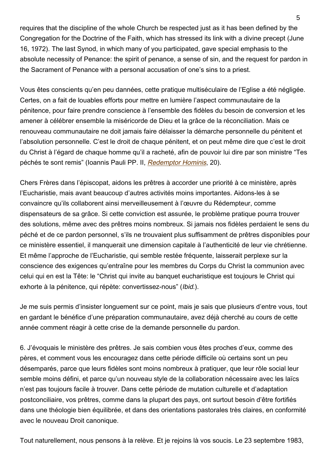requires that the discipline of the whole Church be respected just as it has been defined by the Congregation for the Doctrine of the Faith, which has stressed its link with a divine precept (June 16, 1972). The last Synod, in which many of you participated, gave special emphasis to the absolute necessity of Penance: the spirit of penance, a sense of sin, and the request for pardon in the Sacrament of Penance with a personal accusation of one's sins to a priest.

Vous êtes conscients qu'en peu dannées, cette pratique multiséculaire de l'Eglise a été négligée. Certes, on a fait de louables efforts pour mettre en lumière l'aspect communautaire de la pénitence, pour faire prendre conscience à l'ensemble des fidèles du besoin de conversion et les amener à célébrer ensemble la miséricorde de Dieu et la grâce de la réconciliation. Mais ce renouveau communautaire ne doit jamais faire délaisser la démarche personnelle du pénitent et l'absolution personnelle. C'est le droit de chaque pénitent, et on peut même dire que c'est le droit du Christ à l'égard de chaque homme qu'il a racheté, afin de pouvoir lui dire par son ministre "Tes péchés te sont remis" (Ioannis Pauli PP. II, [Redemptor Hominis](http://www.vatican.va/edocs/FRA0077/__P5.HTM), 20).

Chers Frères dans l'épiscopat, aidons les prêtres à accorder une priorité à ce ministère, après l'Eucharistie, mais avant beaucoup d'autres activités moins importantes. Aidons-les à se convaincre qu'ils collaborent ainsi merveilleusement à l'œuvre du Rédempteur, comme dispensateurs de sa grâce. Si cette conviction est assurée, le problème pratique pourra trouver des solutions, même avec des prêtres moins nombreux. Si jamais nos fidèles perdaient le sens du péché et de ce pardon personnel, s'ils ne trouvaient plus suffisamment de prêtres disponibles pour ce ministère essentiel, il manquerait une dimension capitale à l'authenticité de leur vie chrétienne. Et même l'approche de l'Eucharistie, qui semble restée fréquente, laisserait perplexe sur la conscience des exigences qu'entraîne pour les membres du Corps du Christ la communion avec celui qui en est la Tête: le "Christ qui invite au banquet eucharistique est toujours le Christ qui exhorte à la pénitence, qui répète: convertissez-nous" (Ibid.).

Je me suis permis d'insister longuement sur ce point, mais je sais que plusieurs d'entre vous, tout en gardant le bénéfice d'une préparation communautaire, avez déjà cherché au cours de cette année comment réagir à cette crise de la demande personnelle du pardon.

6. J'évoquais le ministère des prêtres. Je sais combien vous êtes proches d'eux, comme des pères, et comment vous les encouragez dans cette période difficile où certains sont un peu désemparés, parce que leurs fidèles sont moins nombreux à pratiquer, que leur rôle social leur semble moins défini, et parce qu'un nouveau style de la collaboration nécessaire avec les laïcs n'est pas toujours facile à trouver. Dans cette période de mutation culturelle et d'adaptation postconciliaire, vos prêtres, comme dans la plupart des pays, ont surtout besoin d'être fortifiés dans une théologie bien équilibrée, et dans des orientations pastorales très claires, en conformité avec le nouveau Droit canonique.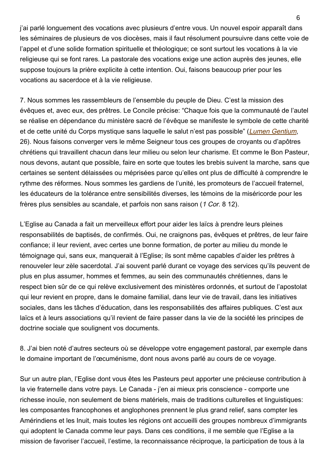j'ai parlé longuement des vocations avec plusieurs d'entre vous. Un nouvel espoir apparaît dans les séminaires de plusieurs de vos diocèses, mais il faut résolument poursuivre dans cette voie de l'appel et d'une solide formation spirituelle et théologique; ce sont surtout les vocations à la vie religieuse qui se font rares. La pastorale des vocations exige une action auprès des jeunes, elle suppose toujours la prière explicite à cette intention. Oui, faisons beaucoup prier pour les vocations au sacerdoce et à la vie religieuse.

7. Nous sommes les rassembleurs de l'ensemble du peuple de Dieu. C'est la mission des évêques et, avec eux, des prêtres. Le Concile précise: "Chaque fois que la communauté de l'autel se réalise en dépendance du ministère sacré de l'évêque se manifeste le symbole de cette charité et de cette unité du Corps mystique sans laquelle le salut n'est pas possible" ([Lumen Gentium](http://localhost/archive/hist_councils/ii_vatican_council/documents/vat-ii_const_19641121_lumen-gentium_fr.html), 26). Nous faisons converger vers le même Seigneur tous ces groupes de croyants ou d'apôtres chrétiens qui travaillent chacun dans leur milieu ou selon leur charisme. Et comme le Bon Pasteur, nous devons, autant que possible, faire en sorte que toutes les brebis suivent la marche, sans que certaines se sentent délaissées ou méprisées parce qu'elles ont plus de difficulté à comprendre le rythme des réformes. Nous sommes les gardiens de l'unité, les promoteurs de l'accueil fraternel, les éducateurs de la tolérance entre sensibilités diverses, les témoins de la miséricorde pour les frères plus sensibles au scandale, et parfois non sans raison (1 Cor. 8 12).

L'Eglise au Canada a fait un merveilleux effort pour aider les laïcs à prendre leurs pleines responsabilités de baptisés, de confirmés. Oui, ne craignons pas, évêques et prêtres, de leur faire confiance; il leur revient, avec certes une bonne formation, de porter au milieu du monde le témoignage qui, sans eux, manquerait à l'Eglise; ils sont même capables d'aider les prêtres à renouveler leur zèle sacerdotal. J'ai souvent parlé durant ce voyage des services qu'ils peuvent de plus en plus assumer, hommes et femmes, au sein des communautés chrétiennes, dans le respect bien sûr de ce qui relève exclusivement des ministères ordonnés, et surtout de l'apostolat qui leur revient en propre, dans le domaine familial, dans leur vie de travail, dans les initiatives sociales, dans les tâches d'éducation, dans les responsabilités des affaires publiques. C'est aux laïcs et à leurs associations qu'il revient de faire passer dans la vie de la société les principes de doctrine sociale que soulignent vos documents.

8. J'ai bien noté d'autres secteurs où se développe votre engagement pastoral, par exemple dans le domaine important de l'œcuménisme, dont nous avons parlé au cours de ce voyage.

Sur un autre plan, l'Eglise dont vous êtes les Pasteurs peut apporter une précieuse contribution à la vie fraternelle dans votre pays. Le Canada - j'en ai mieux pris conscience - comporte une richesse inouïe, non seulement de biens matériels, mais de traditions culturelles et linguistiques: les composantes francophones et anglophones prennent le plus grand relief, sans compter les Amérindiens et les Inuit, mais toutes les régions ont accueilli des groupes nombreux d'immigrants qui adoptent le Canada comme leur pays. Dans ces conditions, il me semble que l'Eglise a la mission de favoriser l'accueil, l'estime, la reconnaissance réciproque, la participation de tous à la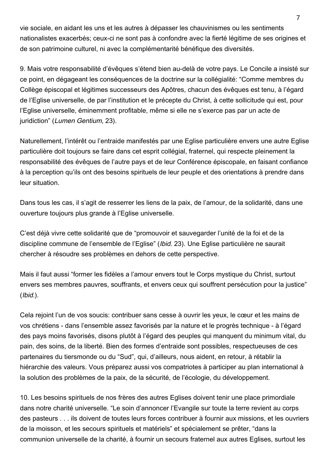vie sociale, en aidant les uns et les autres à dépasser les chauvinismes ou les sentiments nationalistes exacerbés; ceux-ci ne sont pas à confondre avec la fierté légitime de ses origines et de son patrimoine culturel, ni avec la complémentarité bénéfique des diversités.

9. Mais votre responsabilité d'évêques s'étend bien au-delà de votre pays. Le Concile a insisté sur ce point, en dégageant les conséquences de la doctrine sur la collégialité: "Comme membres du Collège épiscopal et légitimes successeurs des Apôtres, chacun des évêques est tenu, à l'égard de l'Eglise universelle, de par l'institution et le précepte du Christ, à cette sollicitude qui est, pour l'Eglise universelle, éminemment profitable, même si elle ne s'exerce pas par un acte de juridiction" (Lumen Gentium, 23).

Naturellement, l'intérêt ou l'entraide manifestés par une Eglise particulière envers une autre Eglise particulière doit toujours se faire dans cet esprit collégial, fraternel, qui respecte pleinement la responsabilité des évêques de l'autre pays et de leur Conférence épiscopale, en faisant confiance à la perception qu'ils ont des besoins spirituels de leur peuple et des orientations à prendre dans leur situation.

Dans tous les cas, il s'agit de resserrer les liens de la paix, de l'amour, de la solidarité, dans une ouverture toujours plus grande à l'Eglise universelle.

C'est déjà vivre cette solidarité que de "promouvoir et sauvegarder l'unité de la foi et de la discipline commune de l'ensemble de l'Eglise" (Ibid. 23). Une Eglise particulière ne saurait chercher à résoudre ses problèmes en dehors de cette perspective.

Mais il faut aussi "former les fidèles a l'amour envers tout le Corps mystique du Christ, surtout envers ses membres pauvres, souffrants, et envers ceux qui souffrent persécution pour la justice" (Ibid.).

Cela rejoint l'un de vos soucis: contribuer sans cesse à ouvrir les yeux, le cœur et les mains de vos chrétiens - dans l'ensemble assez favorisés par la nature et le progrès technique - à l'égard des pays moins favorisés, disons plutôt à l'égard des peuples qui manquent du minimum vital, du pain, des soins, de la liberté. Bien des formes d'entraide sont possibles, respectueuses de ces partenaires du tiersmonde ou du "Sud", qui, d'ailleurs, nous aident, en retour, à rétablir la hiérarchie des valeurs. Vous préparez aussi vos compatriotes à participer au plan international à la solution des problèmes de la paix, de la sécurité, de l'écologie, du développement.

10. Les besoins spirituels de nos frères des autres Eglises doivent tenir une place primordiale dans notre charité universelle. "Le soin d'annoncer l'Evangile sur toute la terre revient au corps des pasteurs . . . ils doivent de toutes leurs forces contribuer à fournir aux missions, et les ouvriers de la moisson, et les secours spirituels et matériels" et spécialement se prêter, "dans la communion universelle de la charité, à fournir un secours fraternel aux autres Eglises, surtout les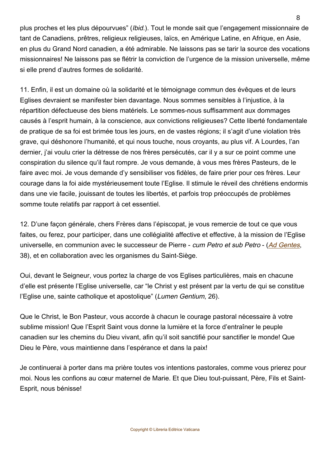plus proches et les plus dépourvues" (Ibid.). Tout le monde sait que l'engagement missionnaire de tant de Canadiens, prêtres, religieux religieuses, laïcs, en Amérique Latine, en Afrique, en Asie, en plus du Grand Nord canadien, a été admirable. Ne laissons pas se tarir la source des vocations missionnaires! Ne laissons pas se flétrir la conviction de l'urgence de la mission universelle, même si elle prend d'autres formes de solidarité.

11. Enfin, il est un domaine où la solidarité et le témoignage commun des évêques et de leurs Eglises devraient se manifester bien davantage. Nous sommes sensibles à l'injustice, à la répartition défectueuse des biens matériels. Le sommes-nous suffisamment aux dommages causés à l'esprit humain, à la conscience, aux convictions religieuses? Cette liberté fondamentale de pratique de sa foi est brimée tous les jours, en de vastes régions; il s'agit d'une violation très grave, qui déshonore l'humanité, et qui nous touche, nous croyants, au plus vif. A Lourdes, l'an dernier, j'ai voulu crier la détresse de nos frères persécutés, car il y a sur ce point comme une conspiration du silence qu'il faut rompre. Je vous demande, à vous mes frères Pasteurs, de le faire avec moi. Je vous demande d'y sensibiliser vos fidèles, de faire prier pour ces frères. Leur courage dans la foi aide mystérieusement toute l'Eglise. Il stimule le réveil des chrétiens endormis dans une vie facile, jouissant de toutes les libertés, et parfois trop préoccupés de problèmes somme toute relatifs par rapport à cet essentiel.

12. D'une façon générale, chers Frères dans l'épiscopat, je vous remercie de tout ce que vous faites, ou ferez, pour participer, dans une collégialité affective et effective, à la mission de l'Eglise universelle, en communion avec le successeur de Pierre - cum Petro et sub Petro - ([Ad Gentes](http://localhost/archive/hist_councils/ii_vatican_council/documents/vat-ii_decree_19651207_ad-gentes_fr.html), 38), et en collaboration avec les organismes du Saint-Siège.

Oui, devant le Seigneur, vous portez la charge de vos Eglises particulières, mais en chacune d'elle est présente l'Eglise universelle, car "le Christ y est présent par la vertu de qui se constitue l'Eglise une, sainte catholique et apostolique" (Lumen Gentium, 26).

Que le Christ, le Bon Pasteur, vous accorde à chacun le courage pastoral nécessaire à votre sublime mission! Que l'Esprit Saint vous donne la lumière et la force d'entraîner le peuple canadien sur les chemins du Dieu vivant, afin qu'il soit sanctifié pour sanctifier le monde! Que Dieu le Père, vous maintienne dans l'espérance et dans la paix!

Je continuerai à porter dans ma prière toutes vos intentions pastorales, comme vous prierez pour moi. Nous les confions au cœur maternel de Marie. Et que Dieu tout-puissant, Père, Fils et Saint-Esprit, nous bénisse!